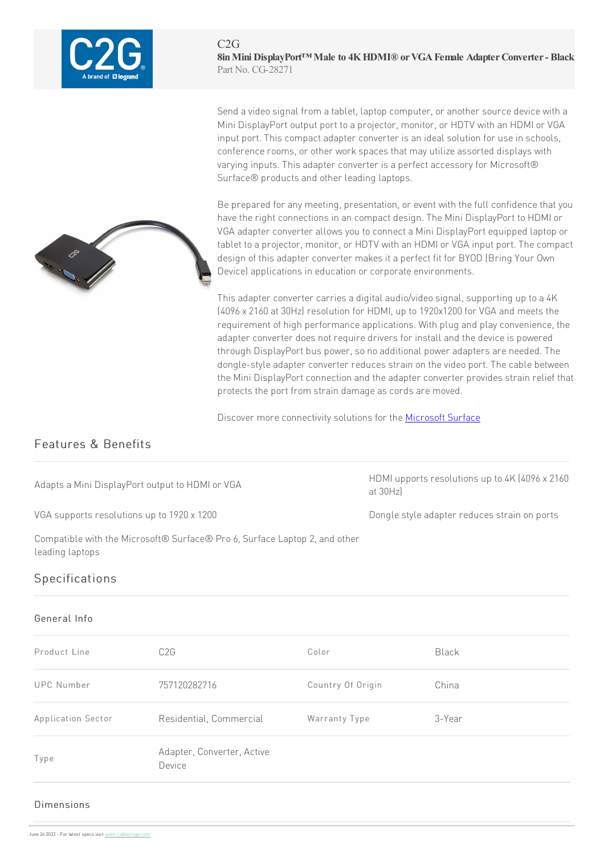

Send a video signal from a tablet, laptop computer, or another source device with a Mini DisplayPort output port to a projector, monitor, or HDTV with an HDMI or VGA input port. This compact adapter converter is an ideal solution for use in schools, conference rooms, or other work spaces that may utilize assorted displays with varying inputs. This adapter converter is a perfect accessory for Microsoft® Surface® products and other leading laptops.

Be prepared for any meeting, presentation, or event with the full confidence that you have the right connections in an compact design. The Mini DisplayPort to HDMI or VGA adapter converter allows you to connect a Mini DisplayPort equipped laptop or tablet to a projector, monitor, or HDTV with an HDMI or VGA input port. The compact design of this adapter converter makes it a perfect fit for BYOD (Bring Your Own Device) applications in education or corporate environments.

This adapter converter carries a digital audio/video signal, supporting up to a 4K (4096 x 2160 at 30Hz) resolution for HDMI, up to 1920x1200 for VGA and meets the requirement of high performance applications. With plug and play convenience, the adapter converter does not require drivers for install and the device is powered through DisplayPort bus power, so no additional power adapters are needed. The dongle-style adapter converter reduces strain on the video port. The cable between the Mini DisplayPort connection and the adapter converter provides strain relief that protects the port from strain damage as cords are moved.

Discover more connectivity solutions for the Microsoft Surface

## Features & Benefits

Adapts a Mini DisplayPort output to HDMI or VGA

HDMI upports resolutions up to 4K (4096 x 2160) at30Hz)

VGA supports resolutions up to 1920 x 1200 Dongle Style adapter reduces strain on ports

Compatible with the Microsoft® Surface® Pro 6, Surface Laptop 2, and other leading laptops

## Specifications

## General Info

| Product Line              | C <sub>2</sub> G                     | Color             | <b>Black</b> |
|---------------------------|--------------------------------------|-------------------|--------------|
| UPC Number                | 757120282716                         | Country Of Origin | China        |
| <b>Application Sector</b> | Residential, Commercial              | Warranty Type     | 3-Year       |
| Type                      | Adapter, Converter, Active<br>Device |                   |              |

## Dimensions